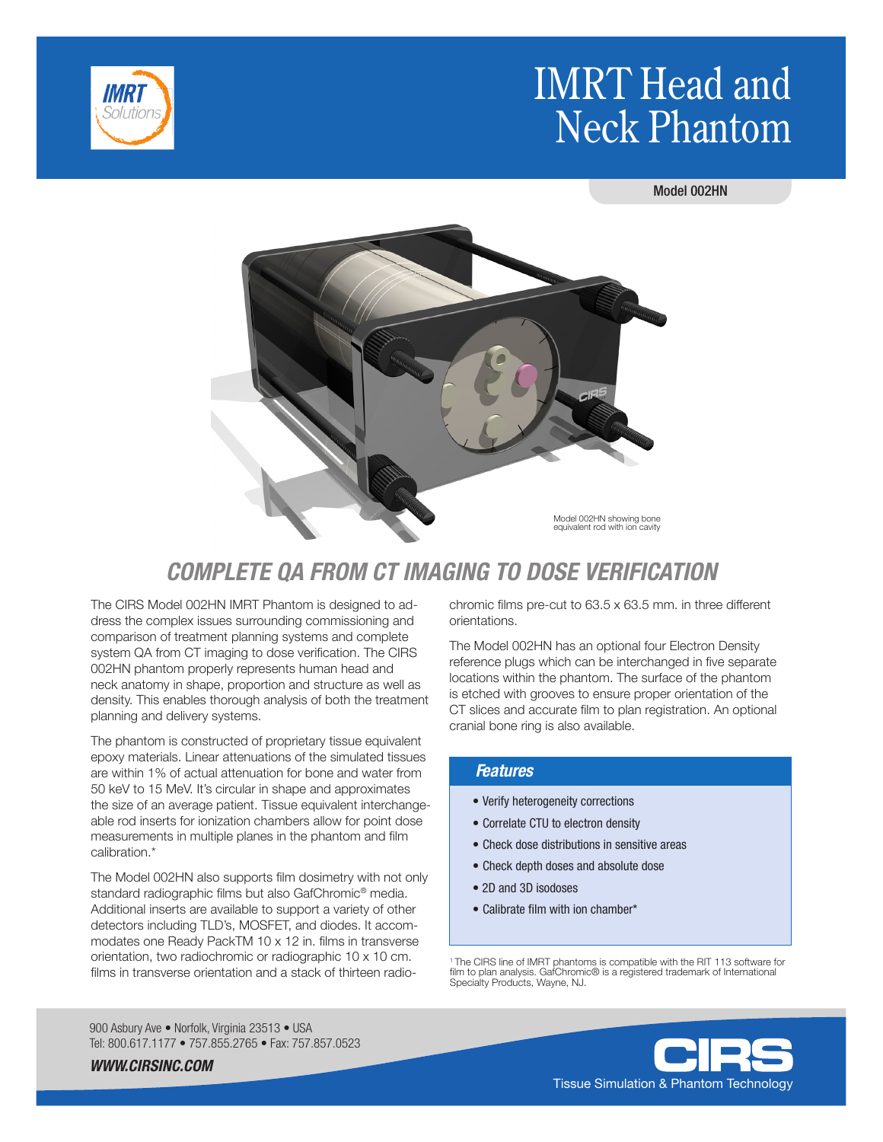# IMRT Head and Neck Phantom



Model 002HN



# *COMPLETE QA FROM CT IMAGING TO DOSE VERIFICATION*

The CIRS Model 002HN IMRT Phantom is designed to address the complex issues surrounding commissioning and comparison of treatment planning systems and complete system QA from CT imaging to dose verification. The CIRS 002HN phantom properly represents human head and neck anatomy in shape, proportion and structure as well as density. This enables thorough analysis of both the treatment planning and delivery systems.

The phantom is constructed of proprietary tissue equivalent epoxy materials. Linear attenuations of the simulated tissues are within 1% of actual attenuation for bone and water from 50 keV to 15 MeV. It's circular in shape and approximates the size of an average patient. Tissue equivalent interchangeable rod inserts for ionization chambers allow for point dose measurements in multiple planes in the phantom and film calibration.\*

The Model 002HN also supports film dosimetry with not only standard radiographic films but also GafChromic® media. Additional inserts are available to support a variety of other detectors including TLD's, MOSFET, and diodes. It accommodates one Ready PackTM 10 x 12 in. films in transverse orientation, two radiochromic or radiographic 10 x 10 cm. films in transverse orientation and a stack of thirteen radio-

chromic films pre-cut to 63.5 x 63.5 mm. in three different orientations.

The Model 002HN has an optional four Electron Density reference plugs which can be interchanged in five separate locations within the phantom. The surface of the phantom is etched with grooves to ensure proper orientation of the CT slices and accurate film to plan registration. An optional cranial bone ring is also available.

#### *Features*

- Verify heterogeneity corrections
- Correlate CTU to electron density
- Check dose distributions in sensitive areas
- Check depth doses and absolute dose
- 2D and 3D isodoses
- Calibrate film with ion chamber\*

1 The CIRS line of IMRT phantoms is compatible with the RIT 113 software for film to plan analysis. GafChromic® is a registered trademark of International Specialty Products, Wayne, NJ.

900 Asbury Ave · Norfolk, Virginia 23513 · USA Tel: 800.617.1177 • 757.855.2765 • Fax: 757.857.0523

*WWW.CIRSINC.COM*